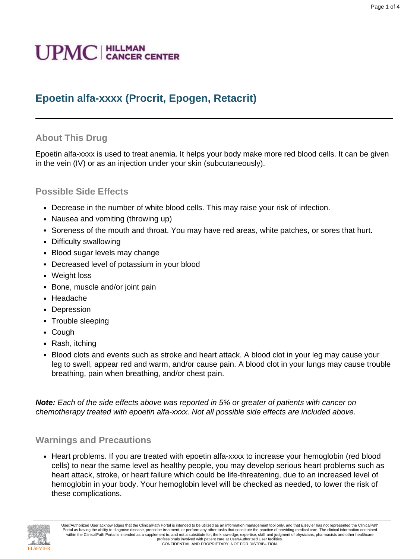# **Epoetin alfa-xxxx (Procrit, Epogen, Retacrit)**

## **About This Drug**

Epoetin alfa-xxxx is used to treat anemia. It helps your body make more red blood cells. It can be given in the vein (IV) or as an injection under your skin (subcutaneously).

Page 1 of 4

#### **Possible Side Effects**

- Decrease in the number of white blood cells. This may raise your risk of infection.
- Nausea and vomiting (throwing up)
- Soreness of the mouth and throat. You may have red areas, white patches, or sores that hurt.
- Difficulty swallowing
- Blood sugar levels may change
- Decreased level of potassium in your blood
- Weight loss
- Bone, muscle and/or joint pain
- Headache
- Depression
- Trouble sleeping
- Cough
- Rash, itching
- Blood clots and events such as stroke and heart attack. A blood clot in your leg may cause your leg to swell, appear red and warm, and/or cause pain. A blood clot in your lungs may cause trouble breathing, pain when breathing, and/or chest pain.

**Note:** Each of the side effects above was reported in 5% or greater of patients with cancer on chemotherapy treated with epoetin alfa-xxxx. Not all possible side effects are included above.

#### **Warnings and Precautions**

• Heart problems. If you are treated with epoetin alfa-xxxx to increase your hemoglobin (red blood cells) to near the same level as healthy people, you may develop serious heart problems such as heart attack, stroke, or heart failure which could be life-threatening, due to an increased level of hemoglobin in your body. Your hemoglobin level will be checked as needed, to lower the risk of these complications.



User/Authorized User acknowledges that the ClinicalPath Portal is intended to be utilized as an information management tool only, and that Elsevier has not represented the ClinicalPath Portal as having the ability to diagnose disease, prescribe treatment, or perform any other tasks that constitute the practice of providing medical care. The clinical information contained within the ClinicalPath Portal is intended as a supplement to, and not a substitute for, the knowledge, expertise, skill, and judgment of physicians, pharmacists and other healthcare professionals involved with patient care at User/Authorized User facilities. CONFIDENTIAL AND PROPRIETARY. NOT FOR DISTRIBUTION.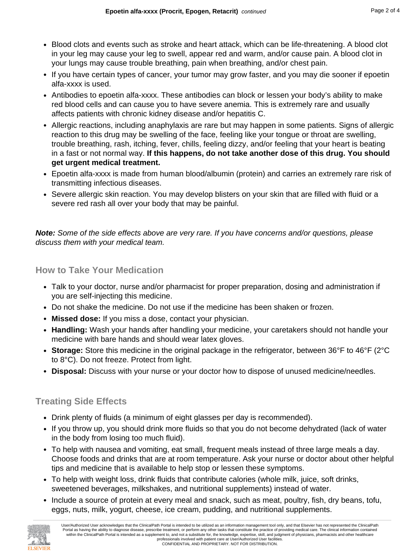- Blood clots and events such as stroke and heart attack, which can be life-threatening. A blood clot in your leg may cause your leg to swell, appear red and warm, and/or cause pain. A blood clot in your lungs may cause trouble breathing, pain when breathing, and/or chest pain.
- If you have certain types of cancer, your tumor may grow faster, and you may die sooner if epoetin alfa-xxxx is used.
- Antibodies to epoetin alfa-xxxx. These antibodies can block or lessen your body's ability to make red blood cells and can cause you to have severe anemia. This is extremely rare and usually affects patients with chronic kidney disease and/or hepatitis C.
- Allergic reactions, including anaphylaxis are rare but may happen in some patients. Signs of allergic reaction to this drug may be swelling of the face, feeling like your tongue or throat are swelling, trouble breathing, rash, itching, fever, chills, feeling dizzy, and/or feeling that your heart is beating in a fast or not normal way. **If this happens, do not take another dose of this drug. You should get urgent medical treatment.**
- Epoetin alfa-xxxx is made from human blood/albumin (protein) and carries an extremely rare risk of transmitting infectious diseases.
- Severe allergic skin reaction. You may develop blisters on your skin that are filled with fluid or a severe red rash all over your body that may be painful.

**Note:** Some of the side effects above are very rare. If you have concerns and/or questions, please discuss them with your medical team.

#### **How to Take Your Medication**

- Talk to your doctor, nurse and/or pharmacist for proper preparation, dosing and administration if you are self-injecting this medicine.
- Do not shake the medicine. Do not use if the medicine has been shaken or frozen.
- **Missed dose:** If you miss a dose, contact your physician.
- **Handling:** Wash your hands after handling your medicine, your caretakers should not handle your medicine with bare hands and should wear latex gloves.
- **Storage:** Store this medicine in the original package in the refrigerator, between 36°F to 46°F (2°C to 8°C). Do not freeze. Protect from light.
- **Disposal:** Discuss with your nurse or your doctor how to dispose of unused medicine/needles.

## **Treating Side Effects**

- Drink plenty of fluids (a minimum of eight glasses per day is recommended).
- If you throw up, you should drink more fluids so that you do not become dehydrated (lack of water in the body from losing too much fluid).
- To help with nausea and vomiting, eat small, frequent meals instead of three large meals a day. Choose foods and drinks that are at room temperature. Ask your nurse or doctor about other helpful tips and medicine that is available to help stop or lessen these symptoms.
- To help with weight loss, drink fluids that contribute calories (whole milk, juice, soft drinks, sweetened beverages, milkshakes, and nutritional supplements) instead of water.
- Include a source of protein at every meal and snack, such as meat, poultry, fish, dry beans, tofu, eggs, nuts, milk, yogurt, cheese, ice cream, pudding, and nutritional supplements.

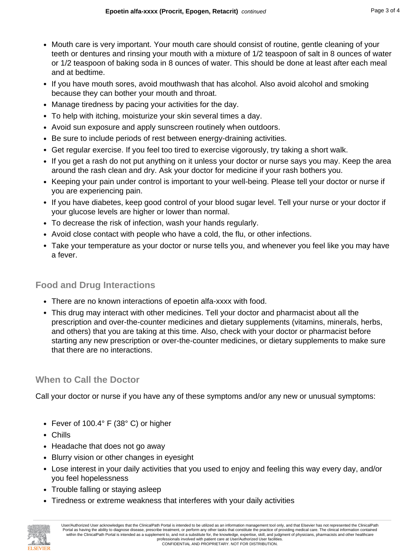- Mouth care is very important. Your mouth care should consist of routine, gentle cleaning of your teeth or dentures and rinsing your mouth with a mixture of 1/2 teaspoon of salt in 8 ounces of water or 1/2 teaspoon of baking soda in 8 ounces of water. This should be done at least after each meal and at bedtime.
- If you have mouth sores, avoid mouthwash that has alcohol. Also avoid alcohol and smoking because they can bother your mouth and throat.
- Manage tiredness by pacing your activities for the day.
- To help with itching, moisturize your skin several times a day.
- Avoid sun exposure and apply sunscreen routinely when outdoors.
- Be sure to include periods of rest between energy-draining activities.
- Get regular exercise. If you feel too tired to exercise vigorously, try taking a short walk.
- If you get a rash do not put anything on it unless your doctor or nurse says you may. Keep the area around the rash clean and dry. Ask your doctor for medicine if your rash bothers you.
- Keeping your pain under control is important to your well-being. Please tell your doctor or nurse if you are experiencing pain.
- If you have diabetes, keep good control of your blood sugar level. Tell your nurse or your doctor if your glucose levels are higher or lower than normal.
- To decrease the risk of infection, wash your hands regularly.
- Avoid close contact with people who have a cold, the flu, or other infections.
- Take your temperature as your doctor or nurse tells you, and whenever you feel like you may have a fever.

#### **Food and Drug Interactions**

- There are no known interactions of epoetin alfa-xxxx with food.
- This drug may interact with other medicines. Tell your doctor and pharmacist about all the prescription and over-the-counter medicines and dietary supplements (vitamins, minerals, herbs, and others) that you are taking at this time. Also, check with your doctor or pharmacist before starting any new prescription or over-the-counter medicines, or dietary supplements to make sure that there are no interactions.

#### **When to Call the Doctor**

Call your doctor or nurse if you have any of these symptoms and/or any new or unusual symptoms:

- Fever of 100.4° F (38° C) or higher
- Chills
- Headache that does not go away
- Blurry vision or other changes in eyesight
- Lose interest in your daily activities that you used to enjoy and feeling this way every day, and/or you feel hopelessness
- Trouble falling or staying asleep
- Tiredness or extreme weakness that interferes with your daily activities



User/Authorized User acknowledges that the ClinicalPath Portal is intended to be utilized as an information management tool only, and that Elsevier has not represented the ClinicalPath Portal as having the ability to diagnose disease, prescribe treatment, or perform any other tasks that constitute the practice of providing medical care. The clinical information contained within the ClinicalPath Portal is intended as a supplement to, and not a substitute for, the knowledge, expertise, skill, and judgment of physicians, pharmacists and other healthcare professionals involved with patient care at User/Authorized User facilities. CONFIDENTIAL AND PROPRIETARY. NOT FOR DISTRIBUTION.